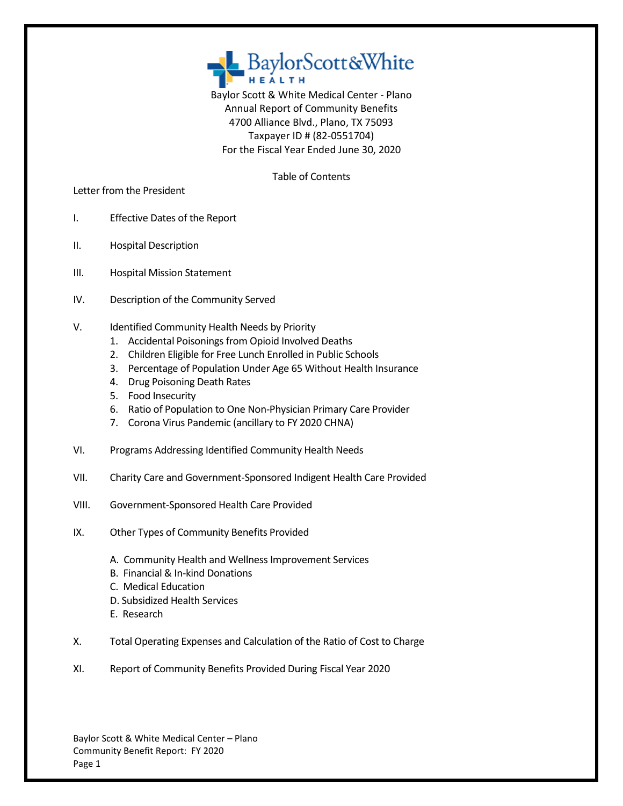

Baylor Scott & White Medical Center - Plano Annual Report of Community Benefits 4700 Alliance Blvd., Plano, TX 75093 Taxpayer ID # (82-0551704) For the Fiscal Year Ended June 30, 2020

Table of Contents

Letter from the President

- I. Effective Dates of the Report
- II. Hospital Description
- III. Hospital Mission Statement
- IV. Description of the Community Served
- V. Identified Community Health Needs by Priority
	- 1. Accidental Poisonings from Opioid Involved Deaths
	- 2. Children Eligible for Free Lunch Enrolled in Public Schools
	- 3. Percentage of Population Under Age 65 Without Health Insurance
	- 4. Drug Poisoning Death Rates
	- 5. Food Insecurity
	- 6. Ratio of Population to One Non-Physician Primary Care Provider
	- 7. Corona Virus Pandemic (ancillary to FY 2020 CHNA)
- VI. Programs Addressing Identified Community Health Needs
- VII. Charity Care and Government-Sponsored Indigent Health Care Provided
- VIII. Government-Sponsored Health Care Provided
- IX. Other Types of Community Benefits Provided
	- A. Community Health and Wellness Improvement Services
	- B. Financial & In-kind Donations
	- C. Medical Education
	- D. Subsidized Health Services
	- E. Research
- X. Total Operating Expenses and Calculation of the Ratio of Cost to Charge
- XI. Report of Community Benefits Provided During Fiscal Year 2020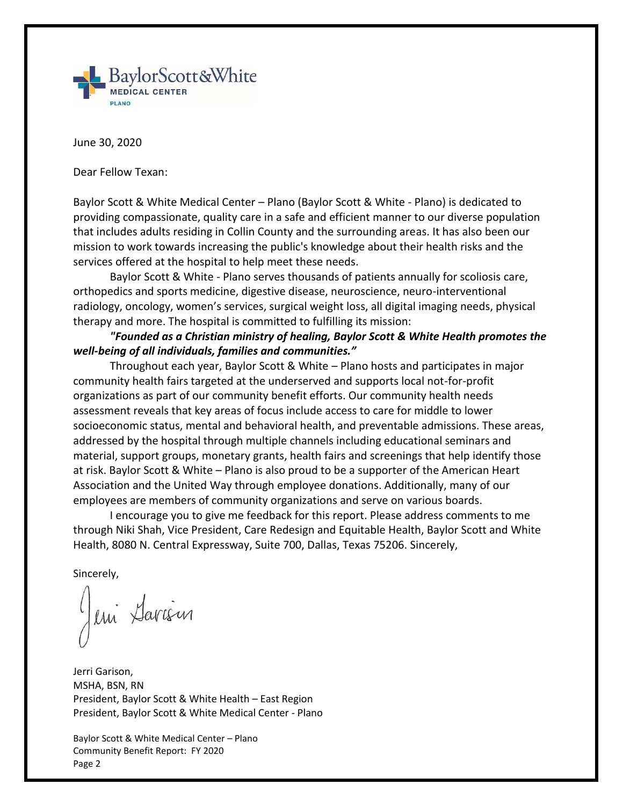

June 30, 2020

Dear Fellow Texan:

Baylor Scott & White Medical Center – Plano (Baylor Scott & White - Plano) is dedicated to providing compassionate, quality care in a safe and efficient manner to our diverse population that includes adults residing in Collin County and the surrounding areas. It has also been our mission to work towards increasing the public's knowledge about their health risks and the services offered at the hospital to help meet these needs.

Baylor Scott & White - Plano serves thousands of patients annually for scoliosis care, orthopedics and sports medicine, digestive disease, neuroscience, neuro-interventional radiology, oncology, women's services, surgical weight loss, all digital imaging needs, physical therapy and more. The hospital is committed to fulfilling its mission:

*"Founded as a Christian ministry of healing, Baylor Scott & White Health promotes the well-being of all individuals, families and communities."* 

Throughout each year, Baylor Scott & White – Plano hosts and participates in major community health fairs targeted at the underserved and supports local not-for-profit organizations as part of our community benefit efforts. Our community health needs assessment reveals that key areas of focus include access to care for middle to lower socioeconomic status, mental and behavioral health, and preventable admissions. These areas, addressed by the hospital through multiple channels including educational seminars and material, support groups, monetary grants, health fairs and screenings that help identify those at risk. Baylor Scott & White – Plano is also proud to be a supporter of the American Heart Association and the United Way through employee donations. Additionally, many of our employees are members of community organizations and serve on various boards.

I encourage you to give me feedback for this report. Please address comments to me through Niki Shah, Vice President, Care Redesign and Equitable Health, Baylor Scott and White Health, 8080 N. Central Expressway, Suite 700, Dallas, Texas 75206. Sincerely,

Sincerely,

eni Sarism

Jerri Garison, MSHA, BSN, RN President, Baylor Scott & White Health – East Region President, Baylor Scott & White Medical Center - Plano

Baylor Scott & White Medical Center – Plano Community Benefit Report: FY 2020 Page 2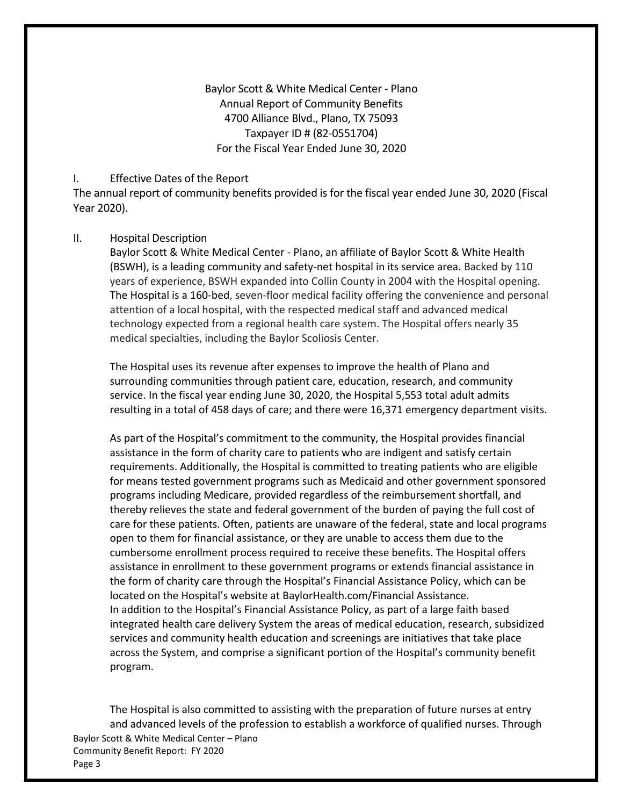Baylor Scott & White Medical Center - Plano Annual Report of Community Benefits 4700 Alliance Blvd., Plano, TX 75093 Taxpayer ID # (82-0551704) For the Fiscal Year Ended June 30, 2020

#### I. Effective Dates of the Report

The annual report of community benefits provided is for the fiscal year ended June 30, 2020 (Fiscal Year 2020).

#### II. Hospital Description

Baylor Scott & White Medical Center - Plano, an affiliate of Baylor Scott & White Health (BSWH), is a leading community and safety-net hospital in its service area. Backed by 110 years of experience, BSWH expanded into Collin County in 2004 with the Hospital opening. The Hospital is a 160-bed, seven-floor medical facility offering the convenience and personal attention of a local hospital, with the respected medical staff and advanced medical technology expected from a regional health care system. The Hospital offers nearly 35 medical specialties, including the Baylor Scoliosis Center.

The Hospital uses its revenue after expenses to improve the health of Plano and surrounding communities through patient care, education, research, and community service. In the fiscal year ending June 30, 2020, the Hospital 5,553 total adult admits resulting in a total of 458 days of care; and there were 16,371 emergency department visits.

As part of the Hospital's commitment to the community, the Hospital provides financial assistance in the form of charity care to patients who are indigent and satisfy certain requirements. Additionally, the Hospital is committed to treating patients who are eligible for means tested government programs such as Medicaid and other government sponsored programs including Medicare, provided regardless of the reimbursement shortfall, and thereby relieves the state and federal government of the burden of paying the full cost of care for these patients. Often, patients are unaware of the federal, state and local programs open to them for financial assistance, or they are unable to access them due to the cumbersome enrollment process required to receive these benefits. The Hospital offers assistance in enrollment to these government programs or extends financial assistance in the form of charity care through the Hospital's Financial Assistance Policy, which can be located on the Hospital's website at BaylorHealth.com/Financial Assistance. In addition to the Hospital's Financial Assistance Policy, as part of a large faith based integrated health care delivery System the areas of medical education, research, subsidized services and community health education and screenings are initiatives that take place across the System, and comprise a significant portion of the Hospital's community benefit program.

Baylor Scott & White Medical Center – Plano Community Benefit Report: FY 2020 The Hospital is also committed to assisting with the preparation of future nurses at entry and advanced levels of the profession to establish a workforce of qualified nurses. Through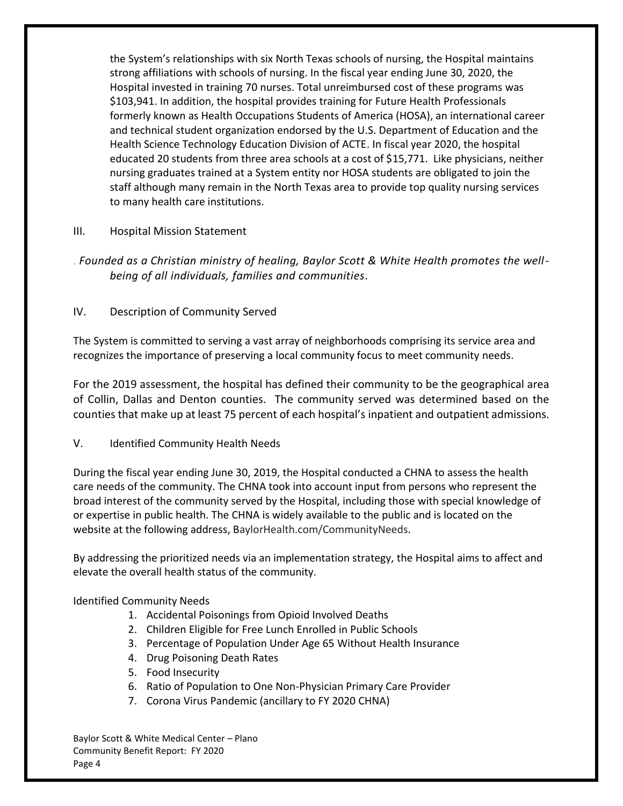the System's relationships with six North Texas schools of nursing, the Hospital maintains strong affiliations with schools of nursing. In the fiscal year ending June 30, 2020, the Hospital invested in training 70 nurses. Total unreimbursed cost of these programs was \$103,941. In addition, the hospital provides training for Future Health Professionals formerly known as Health Occupations Students of America (HOSA), an international career and technical student organization endorsed by the U.S. Department of Education and the Health Science Technology Education Division of ACTE. In fiscal year 2020, the hospital educated 20 students from three area schools at a cost of \$15,771. Like physicians, neither nursing graduates trained at a System entity nor HOSA students are obligated to join the staff although many remain in the North Texas area to provide top quality nursing services to many health care institutions.

## III. Hospital Mission Statement

. *Founded as a Christian ministry of healing, Baylor Scott & White Health promotes the wellbeing of all individuals, families and communities.*

## IV. Description of Community Served

The System is committed to serving a vast array of neighborhoods comprising its service area and recognizes the importance of preserving a local community focus to meet community needs.

For the 2019 assessment, the hospital has defined their community to be the geographical area of Collin, Dallas and Denton counties. The community served was determined based on the counties that make up at least 75 percent of each hospital's inpatient and outpatient admissions.

### V. Identified Community Health Needs

During the fiscal year ending June 30, 2019, the Hospital conducted a CHNA to assess the health care needs of the community. The CHNA took into account input from persons who represent the broad interest of the community served by the Hospital, including those with special knowledge of or expertise in public health. The CHNA is widely available to the public and is located on the website at the following address, BaylorHealth.com/CommunityNeeds.

By addressing the prioritized needs via an implementation strategy, the Hospital aims to affect and elevate the overall health status of the community.

### Identified Community Needs

- 1. Accidental Poisonings from Opioid Involved Deaths
- 2. Children Eligible for Free Lunch Enrolled in Public Schools
- 3. Percentage of Population Under Age 65 Without Health Insurance
- 4. Drug Poisoning Death Rates
- 5. Food Insecurity
- 6. Ratio of Population to One Non-Physician Primary Care Provider
- 7. Corona Virus Pandemic (ancillary to FY 2020 CHNA)

Baylor Scott & White Medical Center – Plano Community Benefit Report: FY 2020 Page 4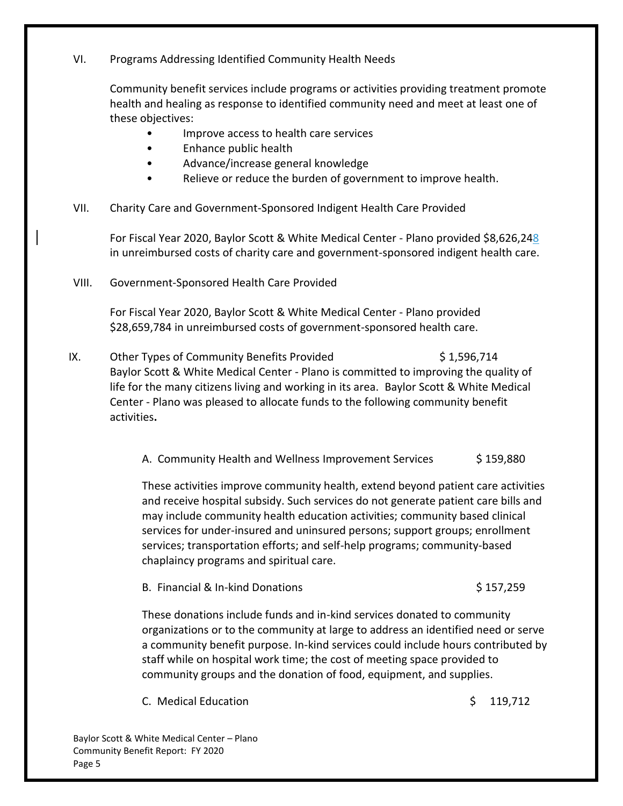## VI. Programs Addressing Identified Community Health Needs

Community benefit services include programs or activities providing treatment promote health and healing as response to identified community need and meet at least one of these objectives:

- Improve access to health care services
- Enhance public health
- Advance/increase general knowledge
- Relieve or reduce the burden of government to improve health.

# VII. Charity Care and Government-Sponsored Indigent Health Care Provided

For Fiscal Year 2020, Baylor Scott & White Medical Center - Plano provided \$8,626,248 in unreimbursed costs of charity care and government-sponsored indigent health care.

VIII. Government-Sponsored Health Care Provided

For Fiscal Year 2020, Baylor Scott & White Medical Center - Plano provided \$28,659,784 in unreimbursed costs of government-sponsored health care.

IX. Other Types of Community Benefits Provided  $\frac{1}{5}$  1,596,714 Baylor Scott & White Medical Center - Plano is committed to improving the quality of life for the many citizens living and working in its area. Baylor Scott & White Medical Center - Plano was pleased to allocate funds to the following community benefit activities**.**

A. Community Health and Wellness Improvement Services \$ 159,880

These activities improve community health, extend beyond patient care activities and receive hospital subsidy. Such services do not generate patient care bills and may include community health education activities; community based clinical services for under-insured and uninsured persons; support groups; enrollment services; transportation efforts; and self-help programs; community-based chaplaincy programs and spiritual care.

B. Financial & In-kind Donations  $\frac{1}{2}$  157,259

These donations include funds and in-kind services donated to community organizations or to the community at large to address an identified need or serve a community benefit purpose. In-kind services could include hours contributed by staff while on hospital work time; the cost of meeting space provided to community groups and the donation of food, equipment, and supplies.

C. Medical Education **by the contract of the Contract Contract Contract Contract Contract Contract Contract Contract Contract Contract Contract Contract Contract Contract Contract Contract Contract Contract Contract Contra** 

Baylor Scott & White Medical Center – Plano Community Benefit Report: FY 2020 Page 5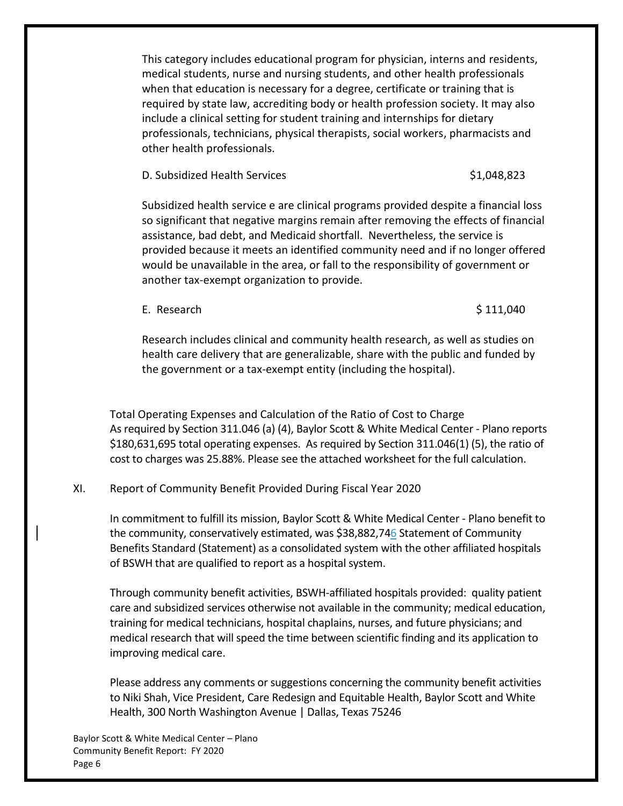This category includes educational program for physician, interns and residents, medical students, nurse and nursing students, and other health professionals when that education is necessary for a degree, certificate or training that is required by state law, accrediting body or health profession society. It may also include a clinical setting for student training and internships for dietary professionals, technicians, physical therapists, social workers, pharmacists and other health professionals.

D. Subsidized Health Services \$1,048,823

Subsidized health service e are clinical programs provided despite a financial loss so significant that negative margins remain after removing the effects of financial assistance, bad debt, and Medicaid shortfall. Nevertheless, the service is provided because it meets an identified community need and if no longer offered would be unavailable in the area, or fall to the responsibility of government or another tax-exempt organization to provide.

E. Research  $$ 111,040$ 

Research includes clinical and community health research, as well as studies on health care delivery that are generalizable, share with the public and funded by the government or a tax-exempt entity (including the hospital).

Total Operating Expenses and Calculation of the Ratio of Cost to Charge As required by Section 311.046 (a) (4), Baylor Scott & White Medical Center - Plano reports \$180,631,695 total operating expenses. As required by Section 311.046(1) (5), the ratio of cost to charges was 25.88%. Please see the attached worksheet for the full calculation.

# XI. Report of Community Benefit Provided During Fiscal Year 2020

In commitment to fulfill its mission, Baylor Scott & White Medical Center - Plano benefit to the community, conservatively estimated, was \$38,882,746 Statement of Community Benefits Standard (Statement) as a consolidated system with the other affiliated hospitals of BSWH that are qualified to report as a hospital system.

Through community benefit activities, BSWH-affiliated hospitals provided: quality patient care and subsidized services otherwise not available in the community; medical education, training for medical technicians, hospital chaplains, nurses, and future physicians; and medical research that will speed the time between scientific finding and its application to improving medical care.

Please address any comments or suggestions concerning the community benefit activities to Niki Shah, Vice President, Care Redesign and Equitable Health, Baylor Scott and White Health, 300 North Washington Avenue | Dallas, Texas 75246